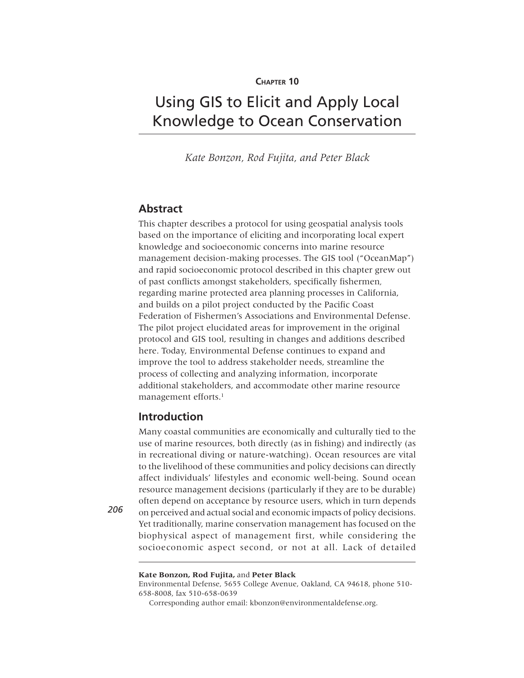#### **CHAPTER 10**

## Using GIS to Elicit and Apply Local Knowledge to Ocean Conservation

*Kate Bonzon, Rod Fujita, and Peter Black*

#### **Abstract**

This chapter describes a protocol for using geospatial analysis tools based on the importance of eliciting and incorporating local expert knowledge and socioeconomic concerns into marine resource management decision-making processes. The GIS tool ("OceanMap") and rapid socioeconomic protocol described in this chapter grew out of past conflicts amongst stakeholders, specifically fishermen*,* regarding marine protected area planning processes in California, and builds on a pilot project conducted by the Pacific Coast Federation of Fishermen's Associations and Environmental Defense. The pilot project elucidated areas for improvement in the original protocol and GIS tool, resulting in changes and additions described here. Today, Environmental Defense continues to expand and improve the tool to address stakeholder needs, streamline the process of collecting and analyzing information, incorporate additional stakeholders, and accommodate other marine resource management efforts.<sup>1</sup>

## **Introduction**

*206*

Many coastal communities are economically and culturally tied to the use of marine resources, both directly (as in fishing) and indirectly (as in recreational diving or nature-watching). Ocean resources are vital to the livelihood of these communities and policy decisions can directly affect individuals' lifestyles and economic well-being. Sound ocean resource management decisions (particularly if they are to be durable) often depend on acceptance by resource users, which in turn depends on perceived and actual social and economic impacts of policy decisions. Yet traditionally, marine conservation management has focused on the biophysical aspect of management first, while considering the socioeconomic aspect second, or not at all. Lack of detailed

**Kate Bonzon, Rod Fujita,** and **Peter Black**

Environmental Defense, 5655 College Avenue, Oakland, CA 94618, phone 510- 658-8008, fax 510-658-0639

Corresponding author email: kbonzon@environmentaldefense.org.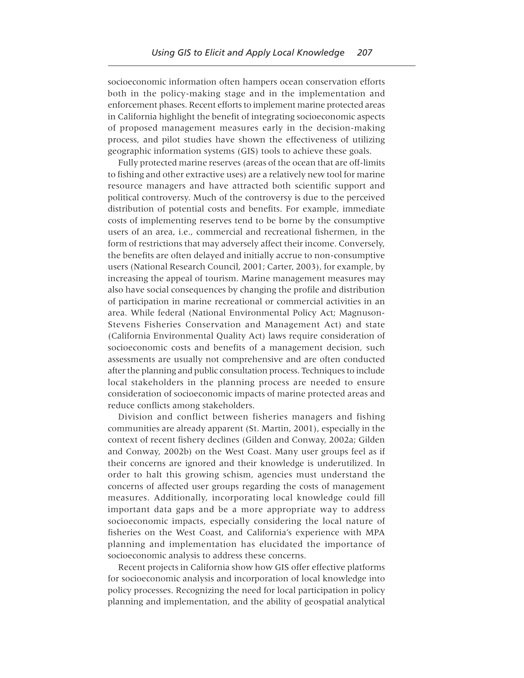socioeconomic information often hampers ocean conservation efforts both in the policy-making stage and in the implementation and enforcement phases. Recent efforts to implement marine protected areas in California highlight the benefit of integrating socioeconomic aspects of proposed management measures early in the decision-making process, and pilot studies have shown the effectiveness of utilizing geographic information systems (GIS) tools to achieve these goals.

Fully protected marine reserves (areas of the ocean that are off-limits to fishing and other extractive uses) are a relatively new tool for marine resource managers and have attracted both scientific support and political controversy. Much of the controversy is due to the perceived distribution of potential costs and benefits. For example, immediate costs of implementing reserves tend to be borne by the consumptive users of an area, i.e., commercial and recreational fishermen, in the form of restrictions that may adversely affect their income. Conversely, the benefits are often delayed and initially accrue to non-consumptive users (National Research Council, 2001; Carter, 2003), for example, by increasing the appeal of tourism. Marine management measures may also have social consequences by changing the profile and distribution of participation in marine recreational or commercial activities in an area. While federal (National Environmental Policy Act; Magnuson-Stevens Fisheries Conservation and Management Act) and state (California Environmental Quality Act) laws require consideration of socioeconomic costs and benefits of a management decision, such assessments are usually not comprehensive and are often conducted after the planning and public consultation process. Techniques to include local stakeholders in the planning process are needed to ensure consideration of socioeconomic impacts of marine protected areas and reduce conflicts among stakeholders.

Division and conflict between fisheries managers and fishing communities are already apparent (St. Martin, 2001), especially in the context of recent fishery declines (Gilden and Conway, 2002a; Gilden and Conway, 2002b) on the West Coast. Many user groups feel as if their concerns are ignored and their knowledge is underutilized. In order to halt this growing schism, agencies must understand the concerns of affected user groups regarding the costs of management measures. Additionally, incorporating local knowledge could fill important data gaps and be a more appropriate way to address socioeconomic impacts, especially considering the local nature of fisheries on the West Coast, and California's experience with MPA planning and implementation has elucidated the importance of socioeconomic analysis to address these concerns.

Recent projects in California show how GIS offer effective platforms for socioeconomic analysis and incorporation of local knowledge into policy processes. Recognizing the need for local participation in policy planning and implementation, and the ability of geospatial analytical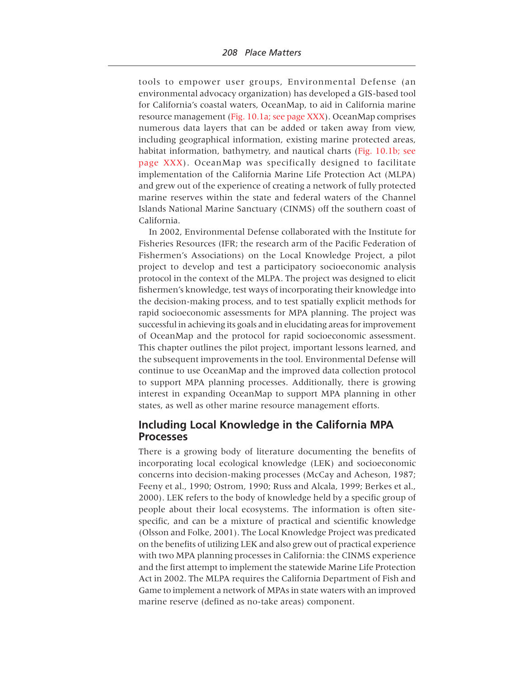tools to empower user groups, Environmental Defense (an environmental advocacy organization) has developed a GIS-based tool for California's coastal waters, OceanMap, to aid in California marine resource management (Fig. 10.1a; see page XXX). OceanMap comprises numerous data layers that can be added or taken away from view, including geographical information, existing marine protected areas, habitat information, bathymetry, and nautical charts (Fig. 10.1b; see page XXX). OceanMap was specifically designed to facilitate implementation of the California Marine Life Protection Act (MLPA) and grew out of the experience of creating a network of fully protected marine reserves within the state and federal waters of the Channel Islands National Marine Sanctuary (CINMS) off the southern coast of California.

In 2002, Environmental Defense collaborated with the Institute for Fisheries Resources (IFR; the research arm of the Pacific Federation of Fishermen's Associations) on the Local Knowledge Project, a pilot project to develop and test a participatory socioeconomic analysis protocol in the context of the MLPA. The project was designed to elicit fishermen's knowledge, test ways of incorporating their knowledge into the decision-making process, and to test spatially explicit methods for rapid socioeconomic assessments for MPA planning. The project was successful in achieving its goals and in elucidating areas for improvement of OceanMap and the protocol for rapid socioeconomic assessment. This chapter outlines the pilot project, important lessons learned, and the subsequent improvements in the tool. Environmental Defense will continue to use OceanMap and the improved data collection protocol to support MPA planning processes. Additionally, there is growing interest in expanding OceanMap to support MPA planning in other states, as well as other marine resource management efforts.

#### **Including Local Knowledge in the California MPA Processes**

There is a growing body of literature documenting the benefits of incorporating local ecological knowledge (LEK) and socioeconomic concerns into decision-making processes (McCay and Acheson, 1987; Feeny et al., 1990; Ostrom, 1990; Russ and Alcala, 1999; Berkes et al., 2000). LEK refers to the body of knowledge held by a specific group of people about their local ecosystems. The information is often sitespecific, and can be a mixture of practical and scientific knowledge (Olsson and Folke, 2001). The Local Knowledge Project was predicated on the benefits of utilizing LEK and also grew out of practical experience with two MPA planning processes in California: the CINMS experience and the first attempt to implement the statewide Marine Life Protection Act in 2002. The MLPA requires the California Department of Fish and Game to implement a network of MPAs in state waters with an improved marine reserve (defined as no-take areas) component.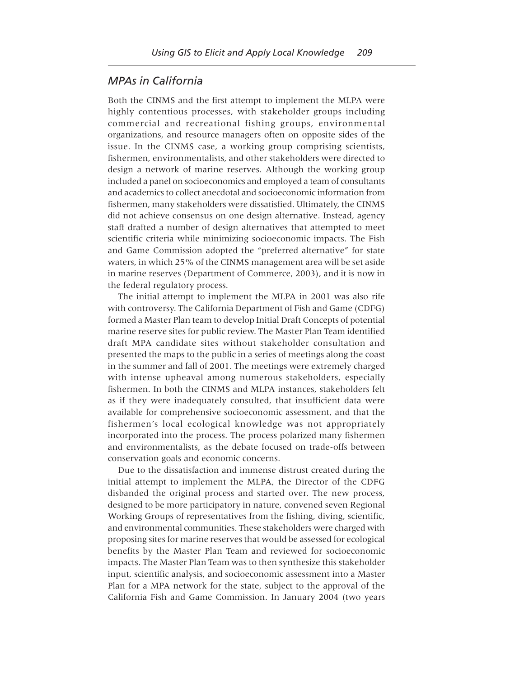### *MPAs in California*

Both the CINMS and the first attempt to implement the MLPA were highly contentious processes, with stakeholder groups including commercial and recreational fishing groups, environmental organizations, and resource managers often on opposite sides of the issue. In the CINMS case, a working group comprising scientists, fishermen, environmentalists, and other stakeholders were directed to design a network of marine reserves. Although the working group included a panel on socioeconomics and employed a team of consultants and academics to collect anecdotal and socioeconomic information from fishermen, many stakeholders were dissatisfied. Ultimately, the CINMS did not achieve consensus on one design alternative. Instead, agency staff drafted a number of design alternatives that attempted to meet scientific criteria while minimizing socioeconomic impacts. The Fish and Game Commission adopted the "preferred alternative" for state waters, in which 25% of the CINMS management area will be set aside in marine reserves (Department of Commerce, 2003), and it is now in the federal regulatory process.

The initial attempt to implement the MLPA in 2001 was also rife with controversy. The California Department of Fish and Game (CDFG) formed a Master Plan team to develop Initial Draft Concepts of potential marine reserve sites for public review. The Master Plan Team identified draft MPA candidate sites without stakeholder consultation and presented the maps to the public in a series of meetings along the coast in the summer and fall of 2001. The meetings were extremely charged with intense upheaval among numerous stakeholders, especially fishermen. In both the CINMS and MLPA instances, stakeholders felt as if they were inadequately consulted, that insufficient data were available for comprehensive socioeconomic assessment, and that the fishermen's local ecological knowledge was not appropriately incorporated into the process. The process polarized many fishermen and environmentalists, as the debate focused on trade-offs between conservation goals and economic concerns.

Due to the dissatisfaction and immense distrust created during the initial attempt to implement the MLPA, the Director of the CDFG disbanded the original process and started over. The new process, designed to be more participatory in nature, convened seven Regional Working Groups of representatives from the fishing, diving, scientific, and environmental communities. These stakeholders were charged with proposing sites for marine reserves that would be assessed for ecological benefits by the Master Plan Team and reviewed for socioeconomic impacts. The Master Plan Team was to then synthesize this stakeholder input, scientific analysis, and socioeconomic assessment into a Master Plan for a MPA network for the state, subject to the approval of the California Fish and Game Commission. In January 2004 (two years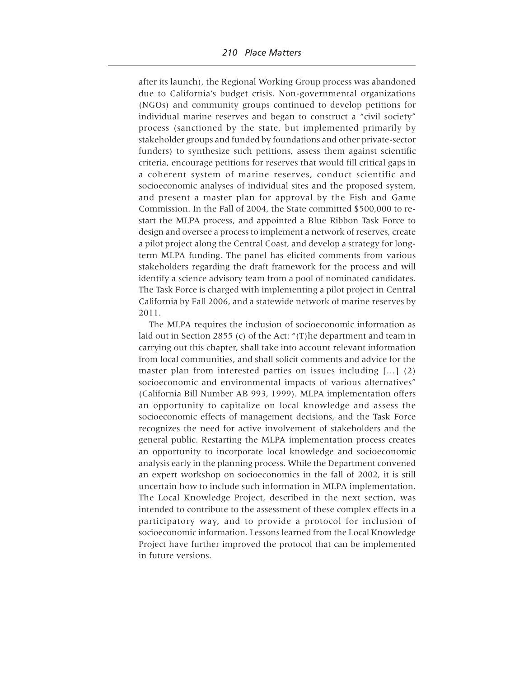after its launch), the Regional Working Group process was abandoned due to California's budget crisis. Non-governmental organizations (NGOs) and community groups continued to develop petitions for individual marine reserves and began to construct a "civil society" process (sanctioned by the state, but implemented primarily by stakeholder groups and funded by foundations and other private-sector funders) to synthesize such petitions, assess them against scientific criteria, encourage petitions for reserves that would fill critical gaps in a coherent system of marine reserves, conduct scientific and socioeconomic analyses of individual sites and the proposed system, and present a master plan for approval by the Fish and Game Commission. In the Fall of 2004, the State committed \$500,000 to restart the MLPA process, and appointed a Blue Ribbon Task Force to design and oversee a process to implement a network of reserves, create a pilot project along the Central Coast, and develop a strategy for longterm MLPA funding. The panel has elicited comments from various stakeholders regarding the draft framework for the process and will identify a science advisory team from a pool of nominated candidates. The Task Force is charged with implementing a pilot project in Central California by Fall 2006, and a statewide network of marine reserves by 2011.

The MLPA requires the inclusion of socioeconomic information as laid out in Section 2855 (c) of the Act: "(T)he department and team in carrying out this chapter, shall take into account relevant information from local communities, and shall solicit comments and advice for the master plan from interested parties on issues including […] (2) socioeconomic and environmental impacts of various alternatives" (California Bill Number AB 993, 1999). MLPA implementation offers an opportunity to capitalize on local knowledge and assess the socioeconomic effects of management decisions, and the Task Force recognizes the need for active involvement of stakeholders and the general public. Restarting the MLPA implementation process creates an opportunity to incorporate local knowledge and socioeconomic analysis early in the planning process. While the Department convened an expert workshop on socioeconomics in the fall of 2002, it is still uncertain how to include such information in MLPA implementation. The Local Knowledge Project, described in the next section, was intended to contribute to the assessment of these complex effects in a participatory way, and to provide a protocol for inclusion of socioeconomic information. Lessons learned from the Local Knowledge Project have further improved the protocol that can be implemented in future versions.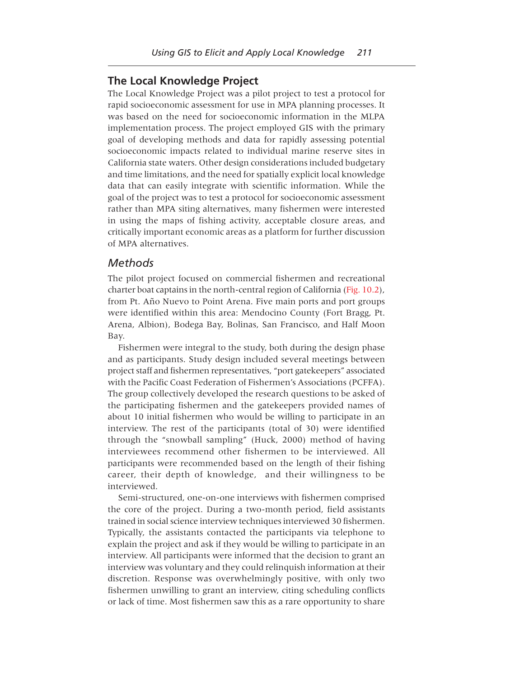#### **The Local Knowledge Project**

The Local Knowledge Project was a pilot project to test a protocol for rapid socioeconomic assessment for use in MPA planning processes. It was based on the need for socioeconomic information in the MLPA implementation process. The project employed GIS with the primary goal of developing methods and data for rapidly assessing potential socioeconomic impacts related to individual marine reserve sites in California state waters. Other design considerations included budgetary and time limitations, and the need for spatially explicit local knowledge data that can easily integrate with scientific information. While the goal of the project was to test a protocol for socioeconomic assessment rather than MPA siting alternatives, many fishermen were interested in using the maps of fishing activity, acceptable closure areas, and critically important economic areas as a platform for further discussion of MPA alternatives.

#### *Methods*

The pilot project focused on commercial fishermen and recreational charter boat captains in the north-central region of California (Fig. 10.2), from Pt. Año Nuevo to Point Arena. Five main ports and port groups were identified within this area: Mendocino County (Fort Bragg, Pt. Arena, Albion), Bodega Bay, Bolinas, San Francisco, and Half Moon Bay.

Fishermen were integral to the study, both during the design phase and as participants. Study design included several meetings between project staff and fishermen representatives, "port gatekeepers" associated with the Pacific Coast Federation of Fishermen's Associations (PCFFA). The group collectively developed the research questions to be asked of the participating fishermen and the gatekeepers provided names of about 10 initial fishermen who would be willing to participate in an interview. The rest of the participants (total of 30) were identified through the "snowball sampling" (Huck, 2000) method of having interviewees recommend other fishermen to be interviewed. All participants were recommended based on the length of their fishing career, their depth of knowledge, and their willingness to be interviewed.

Semi-structured, one-on-one interviews with fishermen comprised the core of the project. During a two-month period, field assistants trained in social science interview techniques interviewed 30 fishermen. Typically, the assistants contacted the participants via telephone to explain the project and ask if they would be willing to participate in an interview. All participants were informed that the decision to grant an interview was voluntary and they could relinquish information at their discretion. Response was overwhelmingly positive, with only two fishermen unwilling to grant an interview, citing scheduling conflicts or lack of time. Most fishermen saw this as a rare opportunity to share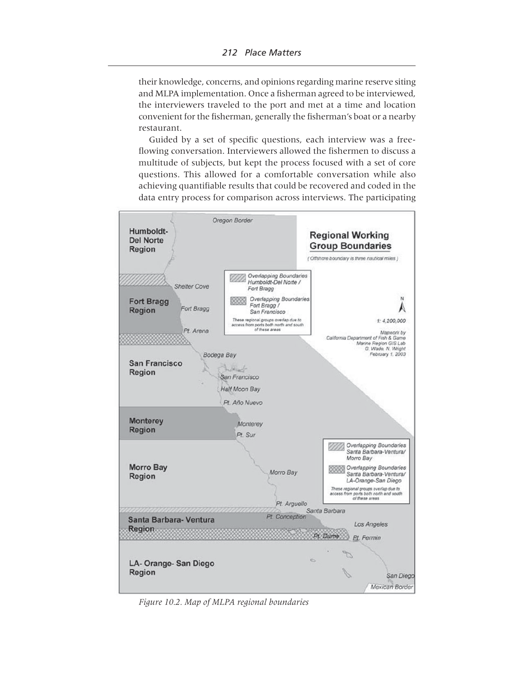their knowledge, concerns, and opinions regarding marine reserve siting and MLPA implementation. Once a fisherman agreed to be interviewed, the interviewers traveled to the port and met at a time and location convenient for the fisherman, generally the fisherman's boat or a nearby restaurant.

Guided by a set of specific questions, each interview was a freeflowing conversation. Interviewers allowed the fishermen to discuss a multitude of subjects, but kept the process focused with a set of core questions. This allowed for a comfortable conversation while also achieving quantifiable results that could be recovered and coded in the data entry process for comparison across interviews. The participating



*Figure 10.2. Map of MLPA regional boundaries*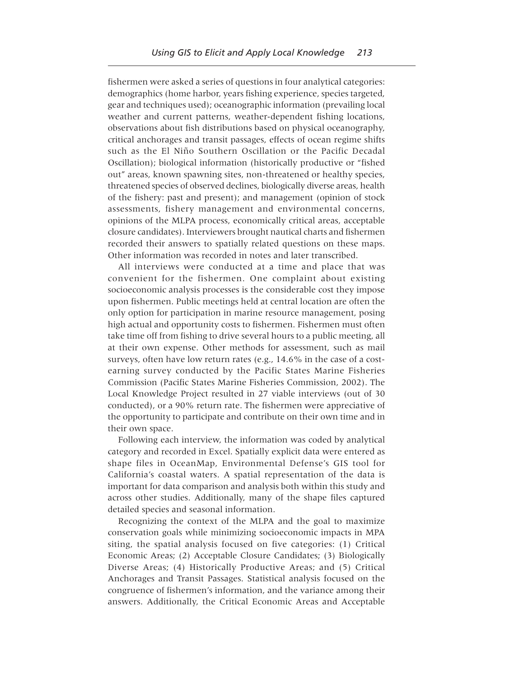fishermen were asked a series of questions in four analytical categories: demographics (home harbor, years fishing experience, species targeted, gear and techniques used); oceanographic information (prevailing local weather and current patterns, weather-dependent fishing locations, observations about fish distributions based on physical oceanography, critical anchorages and transit passages, effects of ocean regime shifts such as the El Niño Southern Oscillation or the Pacific Decadal Oscillation); biological information (historically productive or "fished out" areas, known spawning sites, non-threatened or healthy species, threatened species of observed declines, biologically diverse areas, health of the fishery: past and present); and management (opinion of stock assessments, fishery management and environmental concerns, opinions of the MLPA process, economically critical areas, acceptable closure candidates). Interviewers brought nautical charts and fishermen recorded their answers to spatially related questions on these maps. Other information was recorded in notes and later transcribed.

All interviews were conducted at a time and place that was convenient for the fishermen. One complaint about existing socioeconomic analysis processes is the considerable cost they impose upon fishermen. Public meetings held at central location are often the only option for participation in marine resource management, posing high actual and opportunity costs to fishermen. Fishermen must often take time off from fishing to drive several hours to a public meeting, all at their own expense. Other methods for assessment, such as mail surveys, often have low return rates (e.g., 14.6% in the case of a costearning survey conducted by the Pacific States Marine Fisheries Commission (Pacific States Marine Fisheries Commission, 2002). The Local Knowledge Project resulted in 27 viable interviews (out of 30 conducted), or a 90% return rate. The fishermen were appreciative of the opportunity to participate and contribute on their own time and in their own space.

Following each interview, the information was coded by analytical category and recorded in Excel. Spatially explicit data were entered as shape files in OceanMap, Environmental Defense's GIS tool for California's coastal waters. A spatial representation of the data is important for data comparison and analysis both within this study and across other studies. Additionally, many of the shape files captured detailed species and seasonal information.

Recognizing the context of the MLPA and the goal to maximize conservation goals while minimizing socioeconomic impacts in MPA siting, the spatial analysis focused on five categories: (1) Critical Economic Areas; (2) Acceptable Closure Candidates; (3) Biologically Diverse Areas; (4) Historically Productive Areas; and (5) Critical Anchorages and Transit Passages. Statistical analysis focused on the congruence of fishermen's information, and the variance among their answers. Additionally, the Critical Economic Areas and Acceptable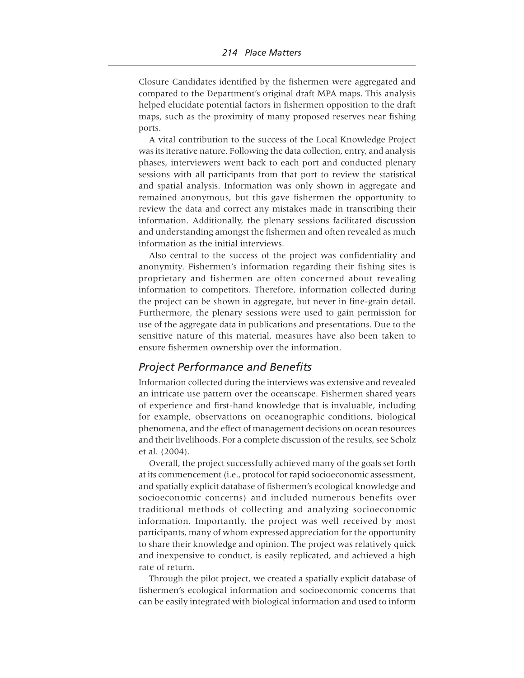Closure Candidates identified by the fishermen were aggregated and compared to the Department's original draft MPA maps. This analysis helped elucidate potential factors in fishermen opposition to the draft maps, such as the proximity of many proposed reserves near fishing ports.

A vital contribution to the success of the Local Knowledge Project was its iterative nature. Following the data collection, entry, and analysis phases, interviewers went back to each port and conducted plenary sessions with all participants from that port to review the statistical and spatial analysis. Information was only shown in aggregate and remained anonymous, but this gave fishermen the opportunity to review the data and correct any mistakes made in transcribing their information. Additionally, the plenary sessions facilitated discussion and understanding amongst the fishermen and often revealed as much information as the initial interviews.

Also central to the success of the project was confidentiality and anonymity. Fishermen's information regarding their fishing sites is proprietary and fishermen are often concerned about revealing information to competitors. Therefore, information collected during the project can be shown in aggregate, but never in fine-grain detail. Furthermore, the plenary sessions were used to gain permission for use of the aggregate data in publications and presentations. Due to the sensitive nature of this material, measures have also been taken to ensure fishermen ownership over the information.

### *Project Performance and Benefits*

Information collected during the interviews was extensive and revealed an intricate use pattern over the oceanscape. Fishermen shared years of experience and first-hand knowledge that is invaluable, including for example, observations on oceanographic conditions, biological phenomena, and the effect of management decisions on ocean resources and their livelihoods. For a complete discussion of the results, see Scholz et al. (2004).

Overall, the project successfully achieved many of the goals set forth at its commencement (i.e., protocol for rapid socioeconomic assessment, and spatially explicit database of fishermen's ecological knowledge and socioeconomic concerns) and included numerous benefits over traditional methods of collecting and analyzing socioeconomic information. Importantly, the project was well received by most participants, many of whom expressed appreciation for the opportunity to share their knowledge and opinion. The project was relatively quick and inexpensive to conduct, is easily replicated, and achieved a high rate of return.

Through the pilot project, we created a spatially explicit database of fishermen's ecological information and socioeconomic concerns that can be easily integrated with biological information and used to inform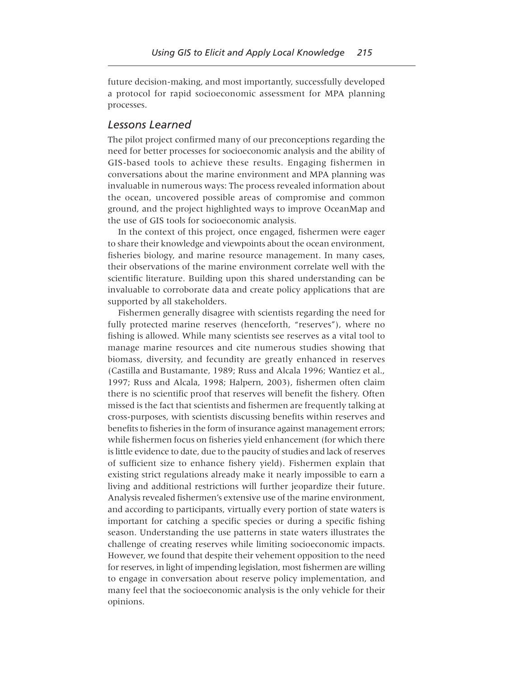future decision-making, and most importantly, successfully developed a protocol for rapid socioeconomic assessment for MPA planning processes.

#### *Lessons Learned*

The pilot project confirmed many of our preconceptions regarding the need for better processes for socioeconomic analysis and the ability of GIS-based tools to achieve these results. Engaging fishermen in conversations about the marine environment and MPA planning was invaluable in numerous ways: The process revealed information about the ocean, uncovered possible areas of compromise and common ground, and the project highlighted ways to improve OceanMap and the use of GIS tools for socioeconomic analysis.

In the context of this project, once engaged, fishermen were eager to share their knowledge and viewpoints about the ocean environment, fisheries biology, and marine resource management. In many cases, their observations of the marine environment correlate well with the scientific literature. Building upon this shared understanding can be invaluable to corroborate data and create policy applications that are supported by all stakeholders.

Fishermen generally disagree with scientists regarding the need for fully protected marine reserves (henceforth, "reserves"), where no fishing is allowed. While many scientists see reserves as a vital tool to manage marine resources and cite numerous studies showing that biomass, diversity, and fecundity are greatly enhanced in reserves (Castilla and Bustamante, 1989; Russ and Alcala 1996; Wantiez et al., 1997; Russ and Alcala, 1998; Halpern, 2003), fishermen often claim there is no scientific proof that reserves will benefit the fishery. Often missed is the fact that scientists and fishermen are frequently talking at cross-purposes, with scientists discussing benefits within reserves and benefits to fisheries in the form of insurance against management errors; while fishermen focus on fisheries yield enhancement (for which there is little evidence to date, due to the paucity of studies and lack of reserves of sufficient size to enhance fishery yield). Fishermen explain that existing strict regulations already make it nearly impossible to earn a living and additional restrictions will further jeopardize their future. Analysis revealed fishermen's extensive use of the marine environment, and according to participants, virtually every portion of state waters is important for catching a specific species or during a specific fishing season. Understanding the use patterns in state waters illustrates the challenge of creating reserves while limiting socioeconomic impacts. However, we found that despite their vehement opposition to the need for reserves, in light of impending legislation, most fishermen are willing to engage in conversation about reserve policy implementation, and many feel that the socioeconomic analysis is the only vehicle for their opinions.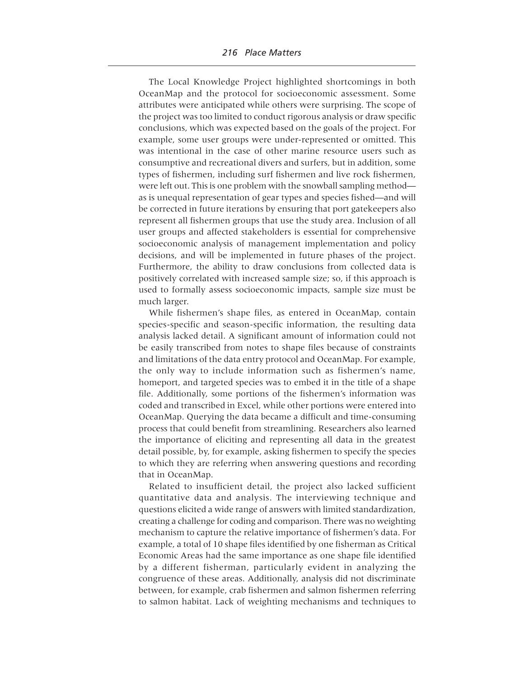The Local Knowledge Project highlighted shortcomings in both OceanMap and the protocol for socioeconomic assessment. Some attributes were anticipated while others were surprising. The scope of the project was too limited to conduct rigorous analysis or draw specific conclusions, which was expected based on the goals of the project. For example, some user groups were under-represented or omitted. This was intentional in the case of other marine resource users such as consumptive and recreational divers and surfers, but in addition, some types of fishermen, including surf fishermen and live rock fishermen, were left out. This is one problem with the snowball sampling method as is unequal representation of gear types and species fished—and will be corrected in future iterations by ensuring that port gatekeepers also represent all fishermen groups that use the study area. Inclusion of all user groups and affected stakeholders is essential for comprehensive socioeconomic analysis of management implementation and policy decisions, and will be implemented in future phases of the project. Furthermore, the ability to draw conclusions from collected data is positively correlated with increased sample size; so, if this approach is used to formally assess socioeconomic impacts, sample size must be much larger.

While fishermen's shape files, as entered in OceanMap, contain species-specific and season-specific information, the resulting data analysis lacked detail. A significant amount of information could not be easily transcribed from notes to shape files because of constraints and limitations of the data entry protocol and OceanMap. For example, the only way to include information such as fishermen's name, homeport, and targeted species was to embed it in the title of a shape file. Additionally, some portions of the fishermen's information was coded and transcribed in Excel, while other portions were entered into OceanMap. Querying the data became a difficult and time-consuming process that could benefit from streamlining. Researchers also learned the importance of eliciting and representing all data in the greatest detail possible, by, for example, asking fishermen to specify the species to which they are referring when answering questions and recording that in OceanMap.

Related to insufficient detail, the project also lacked sufficient quantitative data and analysis. The interviewing technique and questions elicited a wide range of answers with limited standardization, creating a challenge for coding and comparison. There was no weighting mechanism to capture the relative importance of fishermen's data. For example, a total of 10 shape files identified by one fisherman as Critical Economic Areas had the same importance as one shape file identified by a different fisherman, particularly evident in analyzing the congruence of these areas. Additionally, analysis did not discriminate between, for example, crab fishermen and salmon fishermen referring to salmon habitat. Lack of weighting mechanisms and techniques to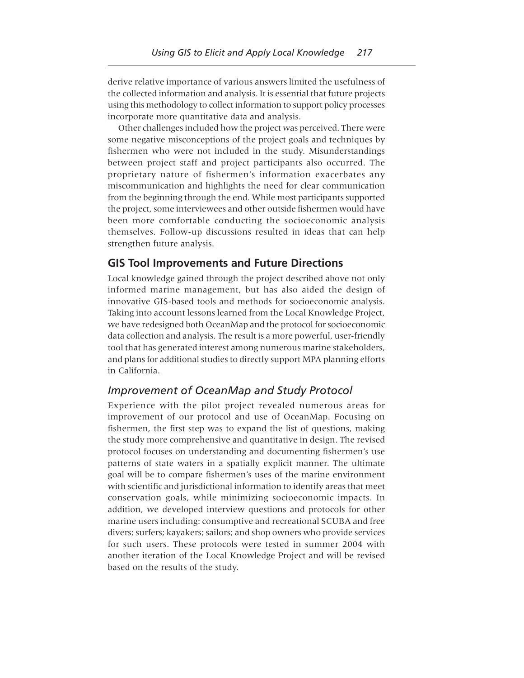derive relative importance of various answers limited the usefulness of the collected information and analysis. It is essential that future projects using this methodology to collect information to support policy processes incorporate more quantitative data and analysis.

Other challenges included how the project was perceived. There were some negative misconceptions of the project goals and techniques by fishermen who were not included in the study. Misunderstandings between project staff and project participants also occurred. The proprietary nature of fishermen's information exacerbates any miscommunication and highlights the need for clear communication from the beginning through the end. While most participants supported the project, some interviewees and other outside fishermen would have been more comfortable conducting the socioeconomic analysis themselves. Follow-up discussions resulted in ideas that can help strengthen future analysis.

#### **GIS Tool Improvements and Future Directions**

Local knowledge gained through the project described above not only informed marine management, but has also aided the design of innovative GIS-based tools and methods for socioeconomic analysis. Taking into account lessons learned from the Local Knowledge Project, we have redesigned both OceanMap and the protocol for socioeconomic data collection and analysis. The result is a more powerful, user-friendly tool that has generated interest among numerous marine stakeholders, and plans for additional studies to directly support MPA planning efforts in California.

#### *Improvement of OceanMap and Study Protocol*

Experience with the pilot project revealed numerous areas for improvement of our protocol and use of OceanMap. Focusing on fishermen, the first step was to expand the list of questions, making the study more comprehensive and quantitative in design. The revised protocol focuses on understanding and documenting fishermen's use patterns of state waters in a spatially explicit manner. The ultimate goal will be to compare fishermen's uses of the marine environment with scientific and jurisdictional information to identify areas that meet conservation goals, while minimizing socioeconomic impacts. In addition, we developed interview questions and protocols for other marine users including: consumptive and recreational SCUBA and free divers; surfers; kayakers; sailors; and shop owners who provide services for such users. These protocols were tested in summer 2004 with another iteration of the Local Knowledge Project and will be revised based on the results of the study.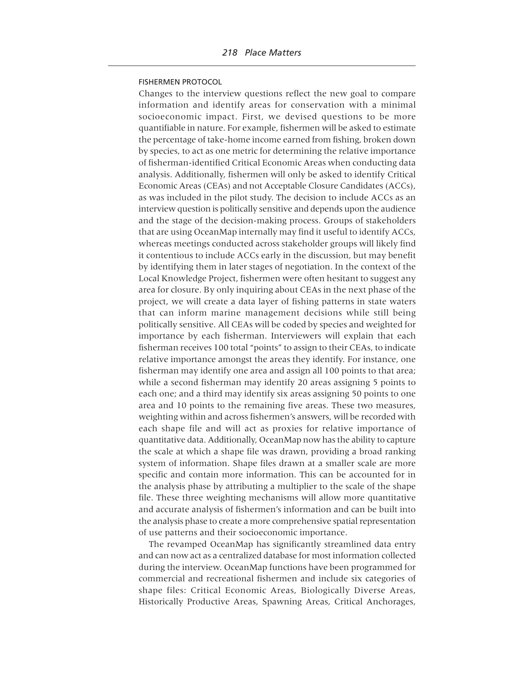#### FISHERMEN PROTOCOL

Changes to the interview questions reflect the new goal to compare information and identify areas for conservation with a minimal socioeconomic impact. First, we devised questions to be more quantifiable in nature. For example, fishermen will be asked to estimate the percentage of take-home income earned from fishing, broken down by species, to act as one metric for determining the relative importance of fisherman-identified Critical Economic Areas when conducting data analysis. Additionally, fishermen will only be asked to identify Critical Economic Areas (CEAs) and not Acceptable Closure Candidates (ACCs), as was included in the pilot study. The decision to include ACCs as an interview question is politically sensitive and depends upon the audience and the stage of the decision-making process. Groups of stakeholders that are using OceanMap internally may find it useful to identify ACCs, whereas meetings conducted across stakeholder groups will likely find it contentious to include ACCs early in the discussion, but may benefit by identifying them in later stages of negotiation. In the context of the Local Knowledge Project, fishermen were often hesitant to suggest any area for closure. By only inquiring about CEAs in the next phase of the project, we will create a data layer of fishing patterns in state waters that can inform marine management decisions while still being politically sensitive. All CEAs will be coded by species and weighted for importance by each fisherman. Interviewers will explain that each fisherman receives 100 total "points" to assign to their CEAs, to indicate relative importance amongst the areas they identify. For instance, one fisherman may identify one area and assign all 100 points to that area; while a second fisherman may identify 20 areas assigning 5 points to each one; and a third may identify six areas assigning 50 points to one area and 10 points to the remaining five areas. These two measures, weighting within and across fishermen's answers, will be recorded with each shape file and will act as proxies for relative importance of quantitative data. Additionally, OceanMap now has the ability to capture the scale at which a shape file was drawn, providing a broad ranking system of information. Shape files drawn at a smaller scale are more specific and contain more information. This can be accounted for in the analysis phase by attributing a multiplier to the scale of the shape file. These three weighting mechanisms will allow more quantitative and accurate analysis of fishermen's information and can be built into the analysis phase to create a more comprehensive spatial representation of use patterns and their socioeconomic importance.

The revamped OceanMap has significantly streamlined data entry and can now act as a centralized database for most information collected during the interview. OceanMap functions have been programmed for commercial and recreational fishermen and include six categories of shape files: Critical Economic Areas, Biologically Diverse Areas, Historically Productive Areas, Spawning Areas, Critical Anchorages,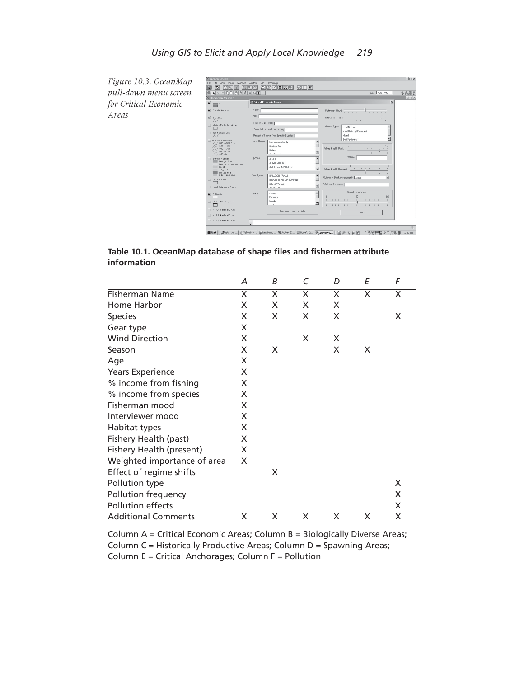*Figure 10.3. OceanMap pull-down menu screen for Critical Economic Areas*

| <b>Mary Miller</b><br>$  \cdot   \cdot  $<br>5 Oceanmap Version 2                                                                            |                           |                                                                                                     |                                                                                           | Scale 1: 7,759.255              | 图别界: |
|----------------------------------------------------------------------------------------------------------------------------------------------|---------------------------|-----------------------------------------------------------------------------------------------------|-------------------------------------------------------------------------------------------|---------------------------------|------|
| $\sqrt{ }$ resears                                                                                                                           | C Eritical Economic Areas |                                                                                                     |                                                                                           | $\mathbb{X}$                    |      |
| Coastal Access                                                                                                                               | Name:                     |                                                                                                     | Fisheman Mood                                                                             | $1 - 1$                         |      |
| Coasting<br>W                                                                                                                                | Ape:                      |                                                                                                     | Trästviewer Mood -                                                                        | .                               |      |
| Marine Profected Areas                                                                                                                       | Years of Experience:      | Percent of Income From Fishing                                                                      | Habitat Types:<br>H and Boldony                                                           | Hard Dutcrop/Pavement           |      |
| 100 Fathers Line                                                                                                                             |                           | Percent of Income ham Specific Species                                                              | Mond                                                                                      |                                 |      |
| 50 Foot Deartsurp<br>A / 600 - 660 Feet<br>$1.650 - 460$<br>$7 - 490 - 700$<br>$1 - 300 - 150$<br>$-160 - D$                                 | Horse Hadson:             | Mendocino County<br>Bodepa Bar<br><b>B</b> plinas<br>$\sim$                                         | Soft Sedments<br>D.<br>Fishers Health (Past)                                              | 10<br>.<br>$\cdots$             |      |
| Berthin Habitat<br>and hard bottom<br>hard outcrop/pavement<br><b>The Price of</b><br>soft_sediment<br>section that<br><b>Sidessan Senar</b> | Species<br>Gaar Types:    | A54R<br>ALGAE MARINE<br><b>AMBERIACE PAILER</b><br>1.1.10 cm 1.1 m 2.1 m 2.1 m 2.1<br>BALLOON TRAWL | When?<br>Δ<br>Fidrey Health (Present):<br>۰<br>÷<br>Opinion of Stock Assessments: Council | 10<br>.<br>$\sim$ $\sim$        |      |
| Blate Waters                                                                                                                                 |                           | BEACH SEINE OR SUPE NET<br><b>BEAM TRAWL</b>                                                        | Additional Comments                                                                       | ٠                               |      |
| Land Reference Paints                                                                                                                        |                           | <b>ALARLINE</b>                                                                                     |                                                                                           |                                 |      |
| California                                                                                                                                   | Saarer:                   | <b>January</b><br>February                                                                          | n                                                                                         | Overall inpotence:<br>50<br>100 |      |
| Marine Bis Regions                                                                                                                           |                           | March                                                                                               |                                                                                           |                                 |      |
| NOAA Nastical Chart                                                                                                                          |                           | Open Wind Direction Dialog                                                                          |                                                                                           | Dave                            |      |
| NOAA Bastical Chart                                                                                                                          |                           |                                                                                                     |                                                                                           |                                 |      |

#### **Table 10.1. OceanMap database of shape files and fishermen attribute information**

|                             | Α | B  | C | D | Ε | F |
|-----------------------------|---|----|---|---|---|---|
| <b>Fisherman Name</b>       | X | X  | X | X | X | X |
| Home Harbor                 | X | X  | X | X |   |   |
| <b>Species</b>              | X | X. | X | X |   | X |
| Gear type                   | X |    |   |   |   |   |
| <b>Wind Direction</b>       | X |    | X | X |   |   |
| Season                      | X | X  |   | X | X |   |
| Age                         | X |    |   |   |   |   |
| <b>Years Experience</b>     | X |    |   |   |   |   |
| % income from fishing       | X |    |   |   |   |   |
| % income from species       | X |    |   |   |   |   |
| Fisherman mood              | X |    |   |   |   |   |
| Interviewer mood            | X |    |   |   |   |   |
| Habitat types               | X |    |   |   |   |   |
| Fishery Health (past)       | X |    |   |   |   |   |
| Fishery Health (present)    | X |    |   |   |   |   |
| Weighted importance of area | X |    |   |   |   |   |
| Effect of regime shifts     |   | X  |   |   |   |   |
| Pollution type              |   |    |   |   |   | X |
| Pollution frequency         |   |    |   |   |   | X |
| <b>Pollution effects</b>    |   |    |   |   |   | X |
| <b>Additional Comments</b>  | X | X  | X | X | X | X |

Column A = Critical Economic Areas; Column B = Biologically Diverse Areas; Column C = Historically Productive Areas; Column D = Spawning Areas; Column E = Critical Anchorages; Column F = Pollution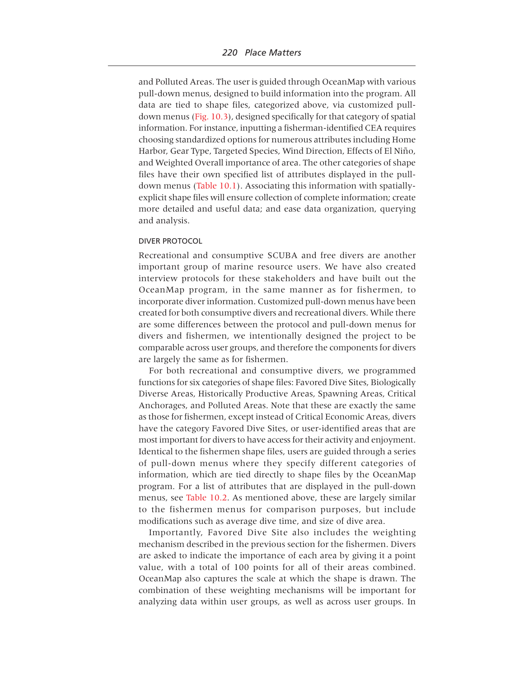and Polluted Areas. The user is guided through OceanMap with various pull-down menus, designed to build information into the program. All data are tied to shape files, categorized above, via customized pulldown menus (Fig. 10.3), designed specifically for that category of spatial information. For instance, inputting a fisherman-identified CEA requires choosing standardized options for numerous attributes including Home Harbor, Gear Type, Targeted Species, Wind Direction, Effects of El Niño, and Weighted Overall importance of area. The other categories of shape files have their own specified list of attributes displayed in the pulldown menus (Table 10.1). Associating this information with spatiallyexplicit shape files will ensure collection of complete information; create more detailed and useful data; and ease data organization, querying and analysis.

#### DIVER PROTOCOL

Recreational and consumptive SCUBA and free divers are another important group of marine resource users. We have also created interview protocols for these stakeholders and have built out the OceanMap program, in the same manner as for fishermen, to incorporate diver information. Customized pull-down menus have been created for both consumptive divers and recreational divers. While there are some differences between the protocol and pull-down menus for divers and fishermen, we intentionally designed the project to be comparable across user groups, and therefore the components for divers are largely the same as for fishermen.

For both recreational and consumptive divers, we programmed functions for six categories of shape files: Favored Dive Sites, Biologically Diverse Areas, Historically Productive Areas, Spawning Areas, Critical Anchorages, and Polluted Areas. Note that these are exactly the same as those for fishermen, except instead of Critical Economic Areas, divers have the category Favored Dive Sites, or user-identified areas that are most important for divers to have access for their activity and enjoyment. Identical to the fishermen shape files, users are guided through a series of pull-down menus where they specify different categories of information, which are tied directly to shape files by the OceanMap program. For a list of attributes that are displayed in the pull-down menus, see Table 10.2. As mentioned above, these are largely similar to the fishermen menus for comparison purposes, but include modifications such as average dive time, and size of dive area.

Importantly, Favored Dive Site also includes the weighting mechanism described in the previous section for the fishermen. Divers are asked to indicate the importance of each area by giving it a point value, with a total of 100 points for all of their areas combined. OceanMap also captures the scale at which the shape is drawn. The combination of these weighting mechanisms will be important for analyzing data within user groups, as well as across user groups. In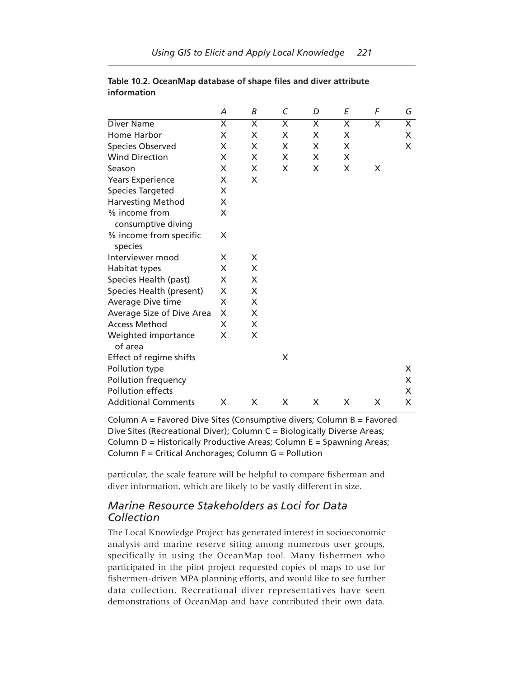|                                     | Α | B | C | D | Ε | F | G  |
|-------------------------------------|---|---|---|---|---|---|----|
| <b>Diver Name</b>                   | X | X | X | X | X | X | X. |
| Home Harbor                         | X | X | X | X | X |   | X  |
| <b>Species Observed</b>             | X | X | X | X | X |   | X  |
| <b>Wind Direction</b>               | X | X | X | X | X |   |    |
| Season                              | X | X | X | X | X | X |    |
| <b>Years Experience</b>             | X | X |   |   |   |   |    |
| <b>Species Targeted</b>             | X |   |   |   |   |   |    |
| <b>Harvesting Method</b>            | X |   |   |   |   |   |    |
| % income from<br>consumptive diving | X |   |   |   |   |   |    |
| % income from specific<br>species   | X |   |   |   |   |   |    |
| Interviewer mood                    | X | X |   |   |   |   |    |
| Habitat types                       | X | X |   |   |   |   |    |
| Species Health (past)               | X | X |   |   |   |   |    |
| Species Health (present)            | X | X |   |   |   |   |    |
| Average Dive time                   | X | X |   |   |   |   |    |
| Average Size of Dive Area           | X | X |   |   |   |   |    |
| <b>Access Method</b>                | X | X |   |   |   |   |    |
| Weighted importance<br>of area      | X | X |   |   |   |   |    |
| Effect of regime shifts             |   |   | X |   |   |   |    |
| Pollution type                      |   |   |   |   |   |   | X  |
| Pollution frequency                 |   |   |   |   |   |   | X  |
| <b>Pollution effects</b>            |   |   |   |   |   |   | X  |
| <b>Additional Comments</b>          | X | X | X | X | X | X | X  |
|                                     |   |   |   |   |   |   |    |

# *Using GIS to Elicit and Apply Local Knowledge 221*

**Table 10.2. OceanMap database of shape files and diver attribute**

**information**

particular, the scale feature will be helpful to compare fisherman and diver information, which are likely to be vastly different in size. Column  $F =$  Critical Anchorages; Column  $G =$  Pollution

Column A = Favored Dive Sites (Consumptive divers; Column B = Favored Dive Sites (Recreational Diver); Column C = Biologically Diverse Areas; Column D = Historically Productive Areas; Column E = Spawning Areas;

## *Marine Resource Stakeholders as Loci for Data Collection*

The Local Knowledge Project has generated interest in socioeconomic analysis and marine reserve siting among numerous user groups, specifically in using the OceanMap tool. Many fishermen who participated in the pilot project requested copies of maps to use for fishermen-driven MPA planning efforts, and would like to see further data collection. Recreational diver representatives have seen demonstrations of OceanMap and have contributed their own data.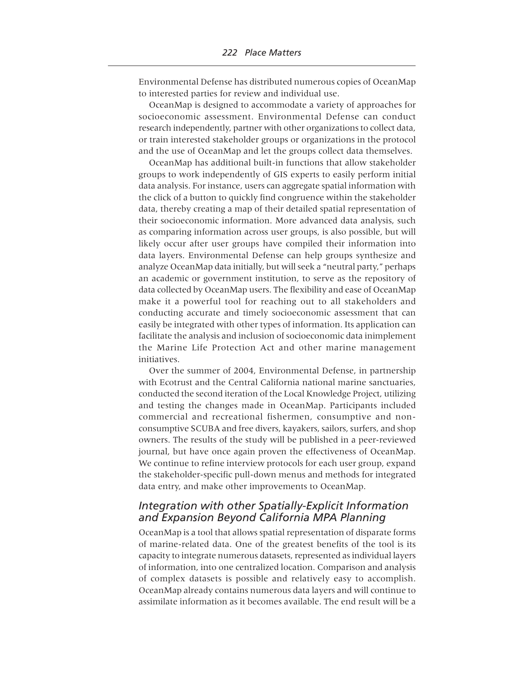Environmental Defense has distributed numerous copies of OceanMap to interested parties for review and individual use.

OceanMap is designed to accommodate a variety of approaches for socioeconomic assessment. Environmental Defense can conduct research independently, partner with other organizations to collect data, or train interested stakeholder groups or organizations in the protocol and the use of OceanMap and let the groups collect data themselves.

OceanMap has additional built-in functions that allow stakeholder groups to work independently of GIS experts to easily perform initial data analysis. For instance, users can aggregate spatial information with the click of a button to quickly find congruence within the stakeholder data, thereby creating a map of their detailed spatial representation of their socioeconomic information. More advanced data analysis, such as comparing information across user groups, is also possible, but will likely occur after user groups have compiled their information into data layers. Environmental Defense can help groups synthesize and analyze OceanMap data initially, but will seek a "neutral party," perhaps an academic or government institution, to serve as the repository of data collected by OceanMap users. The flexibility and ease of OceanMap make it a powerful tool for reaching out to all stakeholders and conducting accurate and timely socioeconomic assessment that can easily be integrated with other types of information. Its application can facilitate the analysis and inclusion of socioeconomic data inimplement the Marine Life Protection Act and other marine management initiatives.

Over the summer of 2004, Environmental Defense, in partnership with Ecotrust and the Central California national marine sanctuaries, conducted the second iteration of the Local Knowledge Project, utilizing and testing the changes made in OceanMap. Participants included commercial and recreational fishermen, consumptive and nonconsumptive SCUBA and free divers, kayakers, sailors, surfers, and shop owners. The results of the study will be published in a peer-reviewed journal, but have once again proven the effectiveness of OceanMap. We continue to refine interview protocols for each user group, expand the stakeholder-specific pull-down menus and methods for integrated data entry, and make other improvements to OceanMap.

#### *Integration with other Spatially-Explicit Information and Expansion Beyond California MPA Planning*

OceanMap is a tool that allows spatial representation of disparate forms of marine-related data. One of the greatest benefits of the tool is its capacity to integrate numerous datasets, represented as individual layers of information, into one centralized location. Comparison and analysis of complex datasets is possible and relatively easy to accomplish. OceanMap already contains numerous data layers and will continue to assimilate information as it becomes available. The end result will be a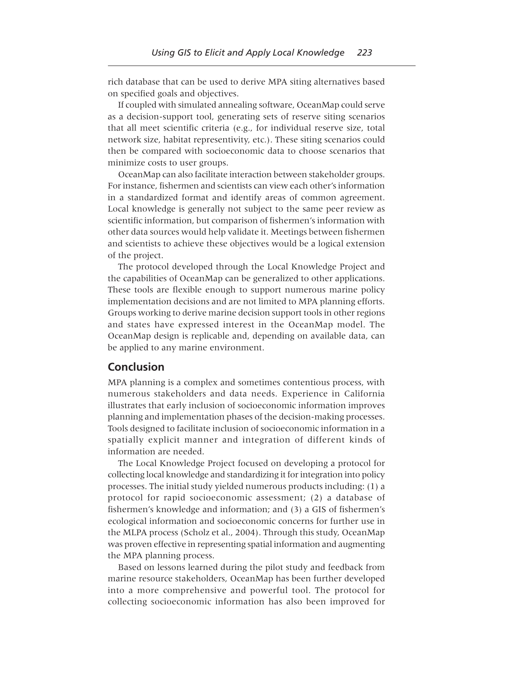rich database that can be used to derive MPA siting alternatives based on specified goals and objectives.

If coupled with simulated annealing software, OceanMap could serve as a decision-support tool, generating sets of reserve siting scenarios that all meet scientific criteria (e.g., for individual reserve size, total network size, habitat representivity, etc.). These siting scenarios could then be compared with socioeconomic data to choose scenarios that minimize costs to user groups.

OceanMap can also facilitate interaction between stakeholder groups. For instance, fishermen and scientists can view each other's information in a standardized format and identify areas of common agreement. Local knowledge is generally not subject to the same peer review as scientific information, but comparison of fishermen's information with other data sources would help validate it. Meetings between fishermen and scientists to achieve these objectives would be a logical extension of the project.

The protocol developed through the Local Knowledge Project and the capabilities of OceanMap can be generalized to other applications. These tools are flexible enough to support numerous marine policy implementation decisions and are not limited to MPA planning efforts. Groups working to derive marine decision support tools in other regions and states have expressed interest in the OceanMap model. The OceanMap design is replicable and, depending on available data, can be applied to any marine environment.

#### **Conclusion**

MPA planning is a complex and sometimes contentious process, with numerous stakeholders and data needs. Experience in California illustrates that early inclusion of socioeconomic information improves planning and implementation phases of the decision-making processes. Tools designed to facilitate inclusion of socioeconomic information in a spatially explicit manner and integration of different kinds of information are needed.

The Local Knowledge Project focused on developing a protocol for collecting local knowledge and standardizing it for integration into policy processes. The initial study yielded numerous products including: (1) a protocol for rapid socioeconomic assessment; (2) a database of fishermen's knowledge and information; and (3) a GIS of fishermen's ecological information and socioeconomic concerns for further use in the MLPA process (Scholz et al., 2004). Through this study, OceanMap was proven effective in representing spatial information and augmenting the MPA planning process.

Based on lessons learned during the pilot study and feedback from marine resource stakeholders, OceanMap has been further developed into a more comprehensive and powerful tool. The protocol for collecting socioeconomic information has also been improved for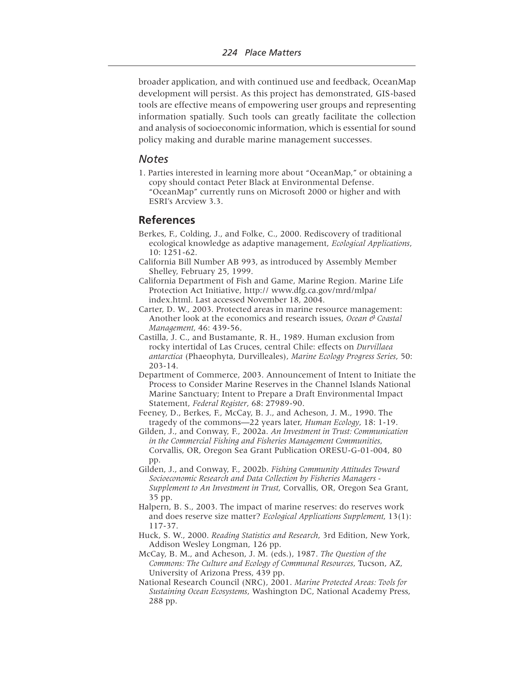broader application, and with continued use and feedback, OceanMap development will persist. As this project has demonstrated, GIS-based tools are effective means of empowering user groups and representing information spatially. Such tools can greatly facilitate the collection and analysis of socioeconomic information, which is essential for sound policy making and durable marine management successes.

#### *Notes*

1. Parties interested in learning more about "OceanMap," or obtaining a copy should contact Peter Black at Environmental Defense. "OceanMap" currently runs on Microsoft 2000 or higher and with ESRI's Arcview 3.3.

#### **References**

- Berkes, F., Colding, J., and Folke, C., 2000. Rediscovery of traditional ecological knowledge as adaptive management, *Ecological Applications*, 10: 1251-62.
- California Bill Number AB 993, as introduced by Assembly Member Shelley, February 25, 1999.
- California Department of Fish and Game, Marine Region. Marine Life Protection Act Initiative, http:// www.dfg.ca.gov/mrd/mlpa/ index.html. Last accessed November 18, 2004.
- Carter, D. W., 2003. Protected areas in marine resource management: Another look at the economics and research issues, *Ocean & Coastal Management*, 46: 439-56.
- Castilla, J. C., and Bustamante, R. H., 1989. Human exclusion from rocky intertidal of Las Cruces, central Chile: effects on *Durvillaea antarctica* (Phaeophyta, Durvilleales), *Marine Ecology Progress Series*, 50: 203-14.
- Department of Commerce, 2003. Announcement of Intent to Initiate the Process to Consider Marine Reserves in the Channel Islands National Marine Sanctuary; Intent to Prepare a Draft Environmental Impact Statement, *Federal Register*, 68: 27989-90.
- Feeney, D., Berkes, F., McCay, B. J., and Acheson, J. M., 1990. The tragedy of the commons—22 years later, *Human Ecology*, 18: 1-19.
- Gilden, J., and Conway, F., 2002a. *An Investment in Trust: Communication in the Commercial Fishing and Fisheries Management Communities*, Corvallis, OR, Oregon Sea Grant Publication ORESU-G-01-004, 80 pp.
- Gilden, J., and Conway, F., 2002b. *Fishing Community Attitudes Toward Socioeconomic Research and Data Collection by Fisheries Managers - Supplement to An Investment in Trust*, Corvallis, OR, Oregon Sea Grant, 35 pp.
- Halpern, B. S., 2003. The impact of marine reserves: do reserves work and does reserve size matter? *Ecological Applications Supplement*, 13(1): 117-37.
- Huck, S. W., 2000. *Reading Statistics and Research*, 3rd Edition, New York, Addison Wesley Longman, 126 pp.
- McCay, B. M., and Acheson, J. M. (eds.), 1987. *The Question of the Commons: The Culture and Ecology of Communal Resources*, Tucson, AZ, University of Arizona Press, 439 pp.
- National Research Council (NRC), 2001. *Marine Protected Areas: Tools for Sustaining Ocean Ecosystems*, Washington DC, National Academy Press, 288 pp.